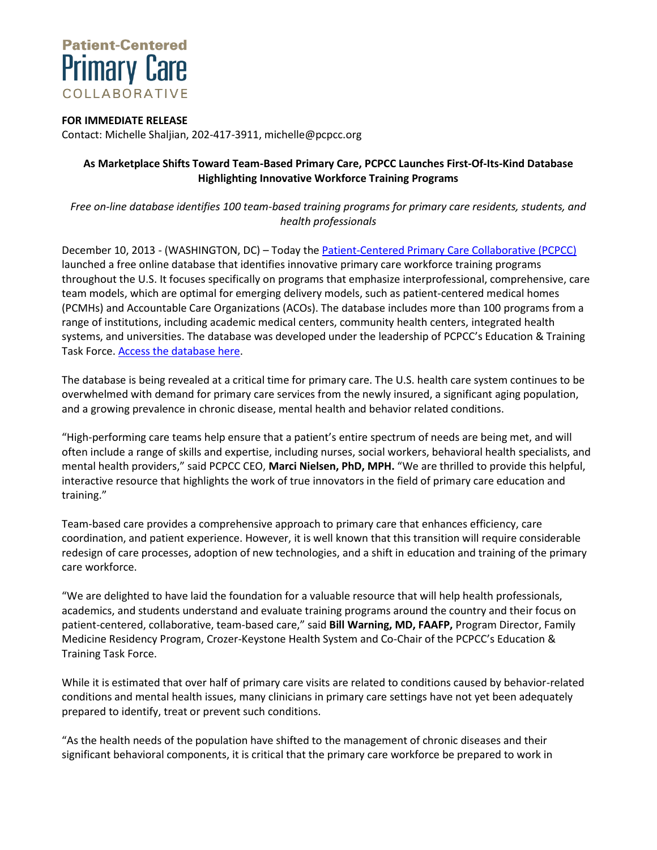

## **FOR IMMEDIATE RELEASE**

Contact: Michelle Shaljian, 202-417-3911, michelle@pcpcc.org

## **As Marketplace Shifts Toward Team-Based Primary Care, PCPCC Launches First-Of-Its-Kind Database Highlighting Innovative Workforce Training Programs**

*Free on-line database identifies 100 team-based training programs for primary care residents, students, and health professionals*

December 10, 2013 - (WASHINGTON, DC) – Today the [Patient-Centered Primary Care Collaborative](http://www.pcpcc.org/) (PCPCC) launched a free online database that identifies innovative primary care workforce training programs throughout the U.S. It focuses specifically on programs that emphasize interprofessional, comprehensive, care team models, which are optimal for emerging delivery models, such as patient-centered medical homes (PCMHs) and Accountable Care Organizations (ACOs). The database includes more than 100 programs from a range of institutions, including academic medical centers, community health centers, integrated health systems, and universities. The database was developed under the leadership of PCPCC's Education & Training Task Force. [Access the database here.](http://www.pcpcc.org/training)

The database is being revealed at a critical time for primary care. The U.S. health care system continues to be overwhelmed with demand for primary care services from the newly insured, a significant aging population, and a growing prevalence in chronic disease, mental health and behavior related conditions.

"High-performing care teams help ensure that a patient's entire spectrum of needs are being met, and will often include a range of skills and expertise, including nurses, social workers, behavioral health specialists, and mental health providers," said PCPCC CEO, **Marci Nielsen, PhD, MPH.** "We are thrilled to provide this helpful, interactive resource that highlights the work of true innovators in the field of primary care education and training."

Team-based care provides a comprehensive approach to primary care that enhances efficiency, care coordination, and patient experience. However, it is well known that this transition will require considerable redesign of care processes, adoption of new technologies, and a shift in education and training of the primary care workforce.

"We are delighted to have laid the foundation for a valuable resource that will help health professionals, academics, and students understand and evaluate training programs around the country and their focus on patient-centered, collaborative, team-based care," said **Bill Warning, MD, FAAFP,** Program Director, Family Medicine Residency Program, Crozer-Keystone Health System and Co-Chair of the PCPCC's Education & Training Task Force.

While it is estimated that over half of primary care visits are related to conditions caused by behavior-related conditions and mental health issues, many clinicians in primary care settings have not yet been adequately prepared to identify, treat or prevent such conditions.

"As the health needs of the population have shifted to the management of chronic diseases and their significant behavioral components, it is critical that the primary care workforce be prepared to work in